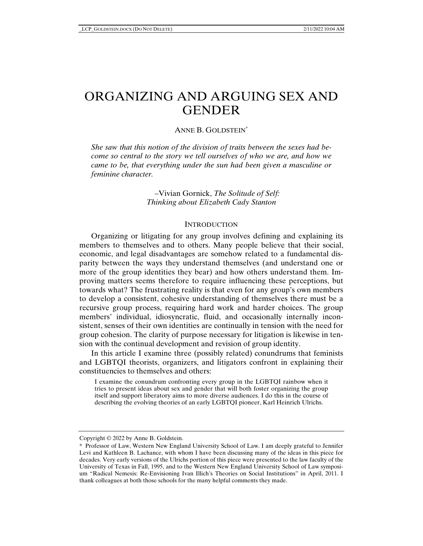# ORGANIZING AND ARGUING SEX AND **GENDER**

## ANNE B. GOLDSTEIN\*

*She saw that this notion of the division of traits between the sexes had become so central to the story we tell ourselves of who we are, and how we came to be, that everything under the sun had been given a masculine or feminine character.* 

> –Vivian Gornick, *The Solitude of Self: Thinking about Elizabeth Cady Stanton*

#### **INTRODUCTION**

Organizing or litigating for any group involves defining and explaining its members to themselves and to others. Many people believe that their social, economic, and legal disadvantages are somehow related to a fundamental disparity between the ways they understand themselves (and understand one or more of the group identities they bear) and how others understand them. Improving matters seems therefore to require influencing these perceptions, but towards what? The frustrating reality is that even for any group's own members to develop a consistent, cohesive understanding of themselves there must be a recursive group process, requiring hard work and harder choices. The group members' individual, idiosyncratic, fluid, and occasionally internally inconsistent, senses of their own identities are continually in tension with the need for group cohesion. The clarity of purpose necessary for litigation is likewise in tension with the continual development and revision of group identity.

In this article I examine three (possibly related) conundrums that feminists and LGBTQI theorists, organizers, and litigators confront in explaining their constituencies to themselves and others:

I examine the conundrum confronting every group in the LGBTQI rainbow when it tries to present ideas about sex and gender that will both foster organizing the group itself and support liberatory aims to more diverse audiences. I do this in the course of describing the evolving theories of an early LGBTQI pioneer, Karl Heinrich Ulrichs.

Copyright © 2022 by Anne B. Goldstein.

<sup>\*</sup> Professor of Law, Western New England University School of Law. I am deeply grateful to Jennifer Levi and Kathleen B. Lachance, with whom I have been discussing many of the ideas in this piece for decades. Very early versions of the Ulrichs portion of this piece were presented to the law faculty of the University of Texas in Fall, 1995, and to the Western New England University School of Law symposium "Radical Nemesis: Re-Envisioning Ivan Illich's Theories on Social Institutions" in April, 2011. I thank colleagues at both those schools for the many helpful comments they made.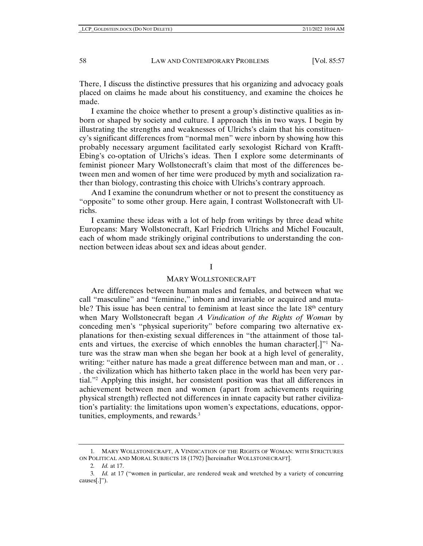There, I discuss the distinctive pressures that his organizing and advocacy goals placed on claims he made about his constituency, and examine the choices he made.

I examine the choice whether to present a group's distinctive qualities as inborn or shaped by society and culture. I approach this in two ways. I begin by illustrating the strengths and weaknesses of Ulrichs's claim that his constituency's significant differences from "normal men" were inborn by showing how this probably necessary argument facilitated early sexologist Richard von Krafft-Ebing's co-optation of Ulrichs's ideas. Then I explore some determinants of feminist pioneer Mary Wollstonecraft's claim that most of the differences between men and women of her time were produced by myth and socialization rather than biology, contrasting this choice with Ulrichs's contrary approach.

And I examine the conundrum whether or not to present the constituency as "opposite" to some other group. Here again, I contrast Wollstonecraft with Ulrichs.

I examine these ideas with a lot of help from writings by three dead white Europeans: Mary Wollstonecraft, Karl Friedrich Ulrichs and Michel Foucault, each of whom made strikingly original contributions to understanding the connection between ideas about sex and ideas about gender.

## I

#### MARY WOLLSTONECRAFT

Are differences between human males and females, and between what we call "masculine" and "feminine," inborn and invariable or acquired and mutable? This issue has been central to feminism at least since the late  $18<sup>th</sup>$  century when Mary Wollstonecraft began *A Vindication of the Rights of Woman* by conceding men's "physical superiority" before comparing two alternative explanations for then-existing sexual differences in "the attainment of those talents and virtues, the exercise of which ennobles the human character[.]" Nature was the straw man when she began her book at a high level of generality, writing: "either nature has made a great difference between man and man, or . . . the civilization which has hitherto taken place in the world has been very partial."2 Applying this insight, her consistent position was that all differences in achievement between men and women (apart from achievements requiring physical strength) reflected not differences in innate capacity but rather civilization's partiality: the limitations upon women's expectations, educations, opportunities, employments, and rewards*.* 3

<sup>1</sup>*.* MARY WOLLSTONECRAFT, A VINDICATION OF THE RIGHTS OF WOMAN: WITH STRICTURES ON POLITICAL AND MORAL SUBJECTS 18 (1792) [hereinafter WOLLSTONECRAFT].

<sup>2</sup>*. Id.* at 17.

<sup>3</sup>*. Id.* at 17 ("women in particular, are rendered weak and wretched by a variety of concurring causes[.]").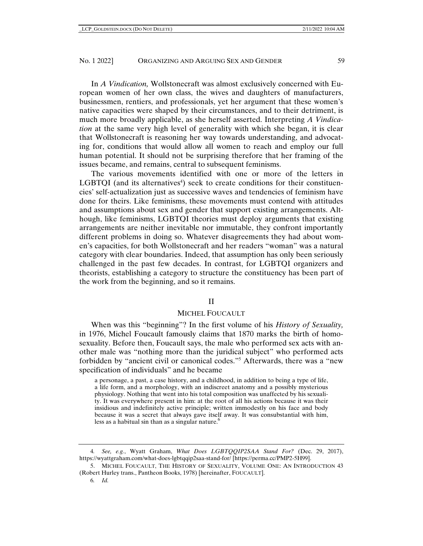In *A Vindication,* Wollstonecraft was almost exclusively concerned with European women of her own class, the wives and daughters of manufacturers, businessmen, rentiers, and professionals, yet her argument that these women's native capacities were shaped by their circumstances, and to their detriment, is much more broadly applicable, as she herself asserted. Interpreting *A Vindication* at the same very high level of generality with which she began, it is clear that Wollstonecraft is reasoning her way towards understanding, and advocating for, conditions that would allow all women to reach and employ our full human potential. It should not be surprising therefore that her framing of the issues became, and remains, central to subsequent feminisms.

The various movements identified with one or more of the letters in LGBTQI (and its alternatives<sup>4</sup>) seek to create conditions for their constituencies' self-actualization just as successive waves and tendencies of feminism have done for theirs. Like feminisms, these movements must contend with attitudes and assumptions about sex and gender that support existing arrangements. Although, like feminisms, LGBTQI theories must deploy arguments that existing arrangements are neither inevitable nor immutable, they confront importantly different problems in doing so. Whatever disagreements they had about women's capacities, for both Wollstonecraft and her readers "woman" was a natural category with clear boundaries. Indeed, that assumption has only been seriously challenged in the past few decades. In contrast, for LGBTQI organizers and theorists, establishing a category to structure the constituency has been part of the work from the beginning, and so it remains.

## II

#### MICHEL FOUCAULT

When was this "beginning"? In the first volume of his *History of Sexuality,*  in 1976, Michel Foucault famously claims that 1870 marks the birth of homosexuality. Before then, Foucault says, the male who performed sex acts with another male was "nothing more than the juridical subject" who performed acts forbidden by "ancient civil or canonical codes."5 Afterwards, there was a "new specification of individuals" and he became

a personage, a past, a case history, and a childhood, in addition to being a type of life, a life form, and a morphology, with an indiscreet anatomy and a possibly mysterious physiology. Nothing that went into his total composition was unaffected by his sexuality. It was everywhere present in him: at the root of all his actions because it was their insidious and indefinitely active principle; written immodestly on his face and body because it was a secret that always gave itself away. It was consubstantial with him, less as a habitual sin than as a singular nature. $6$ 

<sup>4</sup>*. See, e.g.*, Wyatt Graham, *What Does LGBTQQIP2SAA Stand For?* (Dec. 29, 2017), https://wyattgraham.com/what-does-lgbtqqip2saa-stand-for/ [https://perma.cc/PMP2-5H99].

<sup>5.</sup> MICHEL FOUCAULT, THE HISTORY OF SEXUALITY, VOLUME ONE: AN INTRODUCTION 43 (Robert Hurley trans., Pantheon Books, 1978) [hereinafter, FOUCAULT].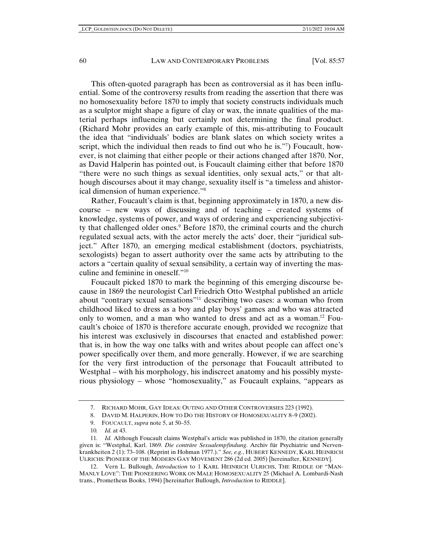This often-quoted paragraph has been as controversial as it has been influential. Some of the controversy results from reading the assertion that there was no homosexuality before 1870 to imply that society constructs individuals much as a sculptor might shape a figure of clay or wax, the innate qualities of the material perhaps influencing but certainly not determining the final product. (Richard Mohr provides an early example of this, mis-attributing to Foucault the idea that "individuals' bodies are blank slates on which society writes a script, which the individual then reads to find out who he is."7) Foucault, however, is not claiming that either people or their actions changed after 1870. Nor, as David Halperin has pointed out, is Foucault claiming either that before 1870 "there were no such things as sexual identities, only sexual acts," or that although discourses about it may change, sexuality itself is "a timeless and ahistorical dimension of human experience."8

Rather, Foucault's claim is that, beginning approximately in 1870, a new discourse – new ways of discussing and of teaching – created systems of knowledge, systems of power, and ways of ordering and experiencing subjectivity that challenged older ones.<sup>9</sup> Before 1870, the criminal courts and the church regulated sexual acts, with the actor merely the acts' doer, their "juridical subject." After 1870, an emerging medical establishment (doctors, psychiatrists, sexologists) began to assert authority over the same acts by attributing to the actors a "certain quality of sexual sensibility, a certain way of inverting the masculine and feminine in oneself."10

Foucault picked 1870 to mark the beginning of this emerging discourse because in 1869 the neurologist Carl Friedrich Otto Westphal published an article about "contrary sexual sensations"11 describing two cases: a woman who from childhood liked to dress as a boy and play boys' games and who was attracted only to women, and a man who wanted to dress and act as a woman.12 Foucault's choice of 1870 is therefore accurate enough, provided we recognize that his interest was exclusively in discourses that enacted and established power: that is, in how the way one talks with and writes about people can affect one's power specifically over them, and more generally. However, if we are searching for the very first introduction of the personage that Foucault attributed to Westphal – with his morphology, his indiscreet anatomy and his possibly mysterious physiology – whose "homosexuality," as Foucault explains, "appears as

<sup>7.</sup> RICHARD MOHR, GAY IDEAS: OUTING AND OTHER CONTROVERSIES 223 (1992).

<sup>8.</sup> DAVID M. HALPERIN, HOW TO DO THE HISTORY OF HOMOSEXUALITY 8–9 (2002).

<sup>9.</sup> FOUCAULT, *supra* note 5, at 50–55.

<sup>10</sup>*. Id.* at 43.

<sup>11</sup>*. Id.* Although Foucault claims Westphal's article was published in 1870, the citation generally given is: "Westphal, Karl. 1869. *Die conträre Sexualempfindung*. Archiv für Psychiatrie und Nervenkrankheiten 2 (1): 73–108. (Reprint in Hohman 1977.)." *See, e.g.*, HUBERT KENNEDY, KARL HEINRICH ULRICHS: PIONEER OF THE MODERN GAY MOVEMENT 286 (2d ed. 2005) [hereinafter, KENNEDY].

<sup>12.</sup> Vern L. Bullough, *Introduction* to 1 KARL HEINRICH ULRICHS, THE RIDDLE OF "MAN-MANLY LOVE": THE PIONEERING WORK ON MALE HOMOSEXUALITY 25 (Michael A. Lombardi-Nash trans., Prometheus Books, 1994) [hereinafter Bullough, *Introduction* to RIDDLE].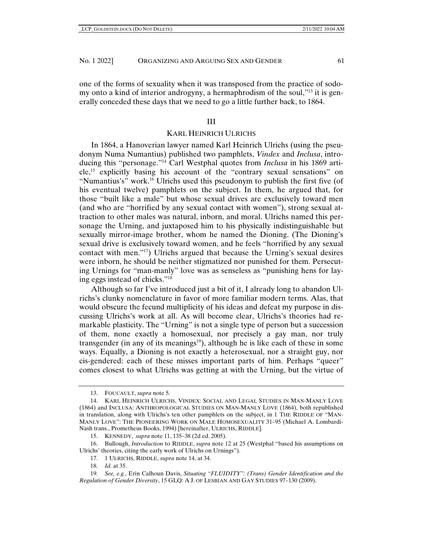one of the forms of sexuality when it was transposed from the practice of sodomy onto a kind of interior androgyny, a hermaphrodism of the soul,"13 it is generally conceded these days that we need to go a little further back, to 1864.

#### III

## KARL HEINRICH ULRICHS

In 1864, a Hanoverian lawyer named Karl Heinrich Ulrichs (using the pseudonym Numa Numantius) published two pamphlets, *Vindex* and *Inclusa*, introducing this "personage."14 Carl Westphal quotes from *Inclusa* in his 1869 article,15 explicitly basing his account of the "contrary sexual sensations" on "Numantius's" work.16 Ulrichs used this pseudonym to publish the first five (of his eventual twelve) pamphlets on the subject. In them, he argued that, for those "built like a male" but whose sexual drives are exclusively toward men (and who are "horrified by any sexual contact with women"), strong sexual attraction to other males was natural, inborn, and moral. Ulrichs named this personage the Urning, and juxtaposed him to his physically indistinguishable but sexually mirror-image brother, whom he named the Dioning. (The Dioning's sexual drive is exclusively toward women, and he feels "horrified by any sexual contact with men."17) Ulrichs argued that because the Urning's sexual desires were inborn, he should be neither stigmatized nor punished for them. Persecuting Urnings for "man-manly" love was as senseless as "punishing hens for laying eggs instead of chicks."18

Although so far I've introduced just a bit of it, I already long to abandon Ulrichs's clunky nomenclature in favor of more familiar modern terms. Alas, that would obscure the fecund multiplicity of his ideas and defeat my purpose in discussing Ulrichs's work at all. As will become clear, Ulrichs's theories had remarkable plasticity. The "Urning" is not a single type of person but a succession of them, none exactly a homosexual, nor precisely a gay man, nor truly transgender (in any of its meanings<sup>19</sup>), although he is like each of these in some ways. Equally, a Dioning is not exactly a heterosexual, nor a straight guy, nor cis-gendered: each of these misses important parts of him. Perhaps "queer" comes closest to what Ulrichs was getting at with the Urning, but the virtue of

<sup>13.</sup> FOUCAULT, *supra* note 5*.*

<sup>14.</sup> KARL HEINRICH ULRICHS, VINDEX: SOCIAL AND LEGAL STUDIES IN MAN-MANLY LOVE (1864) and INCLUSA: ANTHROPOLOGICAL STUDIES ON MAN-MANLY LOVE (1864), both republished in translation, along with Ulrichs's ten other pamphlets on the subject, in 1 THE RIDDLE OF "MAN-MANLY LOVE": THE PIONEERING WORK ON MALE HOMOSEXUALITY 31–95 (Michael A. Lombardi-Nash trans., Prometheus Books, 1994) [hereinafter, ULRICHS, RIDDLE]*.*

<sup>15.</sup> KENNEDY, *supra* note 11, 135–38 (2d ed. 2005).

<sup>16.</sup> Bullough, *Introduction* to RIDDLE, *supra* note 12 at 25 (Westphal "based his assumptions on Ulrichs' theories, citing the early work of Ulrichs on Urnings").

<sup>17. 1</sup> ULRICHS, RIDDLE, *supra* note 14, at 34.

<sup>18</sup>*. Id.* at 35.

<sup>19</sup>*. See, e.g.*, Erin Calhoun Davis, *Situating "FLUIDITY": (Trans) Gender Identification and the Regulation of Gender Diversity*, 15 GLQ: A J. OF LESBIAN AND GAY STUDIES 97–130 (2009).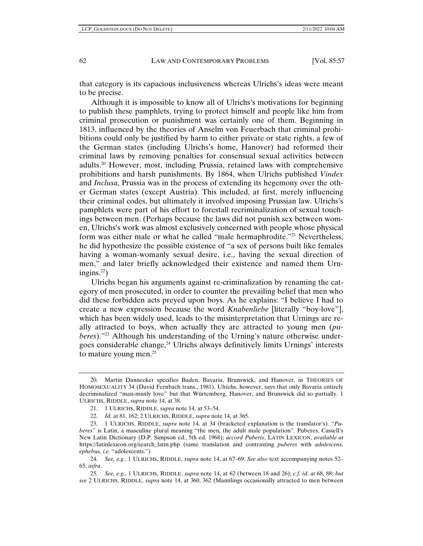that category is its capacious inclusiveness whereas Ulrichs's ideas were meant to be precise.

Although it is impossible to know all of Ulrichs's motivations for beginning to publish these pamphlets, trying to protect himself and people like him from criminal prosecution or punishment was certainly one of them. Beginning in 1813, influenced by the theories of Anselm von Feuerbach that criminal prohibitions could only be justified by harm to either private or state rights, a few of the German states (including Ulrichs's home, Hanover) had reformed their criminal laws by removing penalties for consensual sexual activities between adults.20 However, most, including Prussia, retained laws with comprehensive prohibitions and harsh punishments. By 1864, when Ulrichs published *Vindex*  and *Inclusa*, Prussia was in the process of extending its hegemony over the other German states (except Austria). This included, at first, merely influencing their criminal codes, but ultimately it involved imposing Prussian law. Ulrichs's pamphlets were part of his effort to forestall recriminalization of sexual touchings between men. (Perhaps because the laws did not punish sex between women, Ulrichs's work was almost exclusively concerned with people whose physical form was either male or what he called "male hermaphrodite."21 Nevertheless, he did hypothesize the possible existence of "a sex of persons built like females having a woman-womanly sexual desire, i.e., having the sexual direction of men," and later briefly acknowledged their existence and named them Urningins. $^{22}$ )

Ulrichs began his arguments against re-criminalization by renaming the category of men prosecuted, in order to counter the prevailing belief that men who did these forbidden acts preyed upon boys. As he explains: "I believe I had to create a new expression because the word *Knabenliebe* [literally "boy-love"], which has been widely used, leads to the misinterpretation that Urnings are really attracted to boys, when actually they are attracted to young men (*puberes*)."23 Although his understanding of the Urning's nature otherwise undergoes considerable change,24 Ulrichs always definitively limits Urnings' interests to mature young men.<sup>25</sup>

<sup>20.</sup> Martin Dannecker specifies Baden, Bavaria, Brunswick, and Hanover, in THEORIES OF HOMOSEXUALITY 34 (David Fernbach trans., 1981). Ulrichs, however, says that only Bavaria entirely decriminalized "man-manly love" but that Würtemberg, Hanover, and Brunswick did so partially. 1 ULRICHS, RIDDLE, *supra* note 14, at 38.

<sup>21. 1</sup> ULRICHS, RIDDLE, *supra* note 14, at 53–54.

<sup>22</sup>*. Id.* at 81, 162; 2 ULRICHS, RIDDLE, *supra* note 14, at 365.

<sup>23. 1</sup> ULRICHS, RIDDLE, *supra* note 14, at 34 (bracketed explanation is the translator's). "*Puberes"* is Latin, a masculine plural meaning "the men, the adult male population". Puberes, Cassell's New Latin Dictionary (D.P. Simpson ed., 5th ed. 1968); *accord Puberis*, LATIN LEXICON, *available at*  https://latinlexicon.org/search\_latin.php (same translation and contrasting *puberes* with *adulescens, ephebus, i.e.* "adolescents.")

<sup>24</sup>*. See, e.g.*, 1 ULRICHS, RIDDLE, *supra* note 14, at 67–69. *See also* text accompanying notes 52– 65, *infra*.

<sup>25</sup>*. See, e.g.*, 1 ULRICHS, RIDDLE, *supra* note 14, at 62 (between 18 and 26); *c.f. id. at* 68, 88; *but see* 2 ULRICHS, RIDDLE, *supra* note 14, at 360, 362 (Mannlings occasionally attracted to men between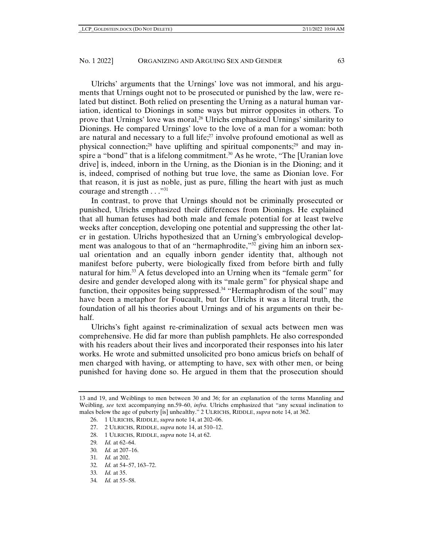Ulrichs' arguments that the Urnings' love was not immoral, and his arguments that Urnings ought not to be prosecuted or punished by the law, were related but distinct. Both relied on presenting the Urning as a natural human variation, identical to Dionings in some ways but mirror opposites in others. To prove that Urnings' love was moral,26 Ulrichs emphasized Urnings' similarity to Dionings. He compared Urnings' love to the love of a man for a woman: both are natural and necessary to a full life; $27$  involve profound emotional as well as physical connection;<sup>28</sup> have uplifting and spiritual components;<sup>29</sup> and may inspire a "bond" that is a lifelong commitment.<sup>30</sup> As he wrote, "The [Uranian love drive] is, indeed, inborn in the Urning, as the Dionian is in the Dioning; and it is, indeed, comprised of nothing but true love, the same as Dionian love. For that reason, it is just as noble, just as pure, filling the heart with just as much courage and strength . . ."31

In contrast, to prove that Urnings should not be criminally prosecuted or punished, Ulrichs emphasized their differences from Dionings. He explained that all human fetuses had both male and female potential for at least twelve weeks after conception, developing one potential and suppressing the other later in gestation. Ulrichs hypothesized that an Urning's embryological development was analogous to that of an "hermaphrodite,"<sup>32</sup> giving him an inborn sexual orientation and an equally inborn gender identity that, although not manifest before puberty, were biologically fixed from before birth and fully natural for him.33 A fetus developed into an Urning when its "female germ" for desire and gender developed along with its "male germ" for physical shape and function, their opposites being suppressed.<sup>34</sup> "Hermaphrodism of the soul" may have been a metaphor for Foucault, but for Ulrichs it was a literal truth, the foundation of all his theories about Urnings and of his arguments on their behalf.

Ulrichs's fight against re-criminalization of sexual acts between men was comprehensive. He did far more than publish pamphlets. He also corresponded with his readers about their lives and incorporated their responses into his later works. He wrote and submitted unsolicited pro bono amicus briefs on behalf of men charged with having, or attempting to have, sex with other men, or being punished for having done so. He argued in them that the prosecution should

- 27. 2 ULRICHS, RIDDLE, *supra* note 14, at 510–12.
- 28. 1 ULRICHS, RIDDLE, *supra* note 14, at 62.
- 29*. Id.* at 62–64.
- 30*. Id.* at 207–16.
- 31*. Id.* at 202.
- 32*. Id.* at 54–57, 163–72.
- 33*. Id.* at 35.
- 34*. Id.* at 55–58.

<sup>13</sup> and 19, and Weiblings to men between 30 and 36; for an explanation of the terms Mannling and Weibling, *see* text accompanying nn.59–60, *infra*. Ulrichs emphasized that "any sexual inclination to males below the age of puberty [is] unhealthy." 2 ULRICHS, RIDDLE, *supra* note 14, at 362.

<sup>26. 1</sup> ULRICHS, RIDDLE, *supra* note 14, at 202–06.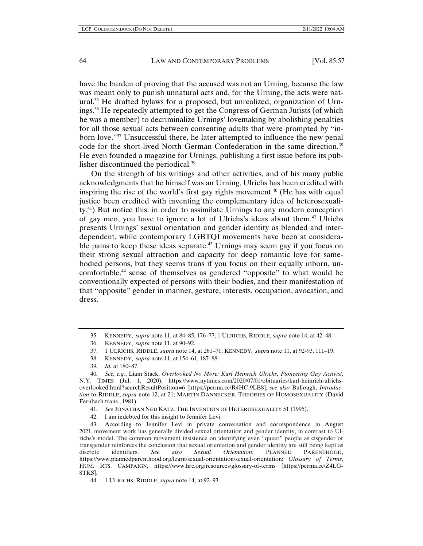have the burden of proving that the accused was not an Urning, because the law was meant only to punish unnatural acts and, for the Urning, the acts were natural.35 He drafted bylaws for a proposed, but unrealized, organization of Urnings.36 He repeatedly attempted to get the Congress of German Jurists (of which he was a member) to decriminalize Urnings' lovemaking by abolishing penalties for all those sexual acts between consenting adults that were prompted by "inborn love."<sup>37</sup> Unsuccessful there, he later attempted to influence the new penal code for the short-lived North German Confederation in the same direction.<sup>38</sup> He even founded a magazine for Urnings, publishing a first issue before its publisher discontinued the periodical.39

On the strength of his writings and other activities, and of his many public acknowledgments that he himself was an Urning, Ulrichs has been credited with inspiring the rise of the world's first gay rights movement.<sup>40</sup> (He has with equal justice been credited with inventing the complementary idea of heterosexuality.41) But notice this: in order to assimilate Urnings to any modern conception of gay men, you have to ignore a lot of Ulrichs's ideas about them.42 Ulrichs presents Urnings' sexual orientation and gender identity as blended and interdependent, while contemporary LGBTQI movements have been at considerable pains to keep these ideas separate.<sup>43</sup> Urnings may seem gay if you focus on their strong sexual attraction and capacity for deep romantic love for samebodied persons, but they seems trans if you focus on their equally inborn, uncomfortable,<sup>44</sup> sense of themselves as gendered "opposite" to what would be conventionally expected of persons with their bodies, and their manifestation of that "opposite" gender in manner, gesture, interests, occupation, avocation, and dress.

38. KENNEDY, *supra* note 11, at 154–61, 187–88.

<sup>35.</sup> KENNEDY, *supra* note 11, at 84–85, 176–77; 1 ULRICHS, RIDDLE, *supra* note 14, at 42–48.

<sup>36.</sup> KENNEDY, *supra* note 11, at 90–92.

<sup>37. 1</sup> ULRICHS, RIDDLE, *supra* note 14, at 261–71; KENNEDY, *supra* note 11, at 92-93, 111–19.

<sup>39</sup>*. Id.* at 180–87.

<sup>40</sup>*. See, e.g.*, Liam Stack, *Overlooked No More: Karl Heinrich Ulrichs, Pioneering Gay Activist*, N.Y. TIMES (Jul. 1, 2020), https://www.nytimes.com/2020/07/01/obituaries/karl-heinrich-ulrichsoverlooked.html?searchResultPosition=6 [https://perma.cc/R4HC-9LB8]; *see also* Bullough, *Introduction* to RIDDLE, *supra* note 12, at 21; MARTIN DANNECKER, THEORIES OF HOMOSEXUALITY (David Fernbach trans., 1981).

<sup>41</sup>*. See* JONATHAN NED KATZ, THE INVENTION OF HETEROSEXUALITY 51 (1995).

<sup>42.</sup> I am indebted for this insight to Jennifer Levi.

<sup>43.</sup> According to Jennifer Levi in private conversation and correspondence in August 2021, movement work has generally divided sexual orientation and gender identity, in contrast to Ulrichs's model. The common movement insistence on identifying even "queer" people as cisgender or transgender reinforces the conclusion that sexual orientation and gender identity are still being kept as discrete identifiers. *See also Sexual Orientation*, PLANNED PARENTHOOD, https://www.plannedparenthood.org/learn/sexual-orientation/sexual-orientation; *Glossary of Terms*, HUM. RTS. CAMPAIGN, https://www.hrc.org/resources/glossary-of-terms [https://perma.cc/Z4LG-8TKS].

<sup>44. 1</sup> ULRICHS, RIDDLE, *supra* note 14, at 92–93.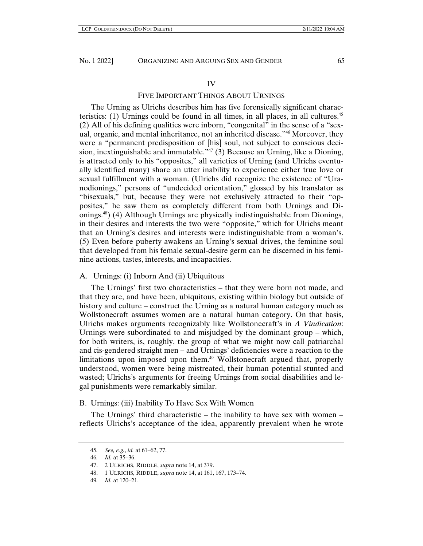#### IV

## FIVE IMPORTANT THINGS ABOUT URNINGS

The Urning as Ulrichs describes him has five forensically significant characteristics:  $(1)$  Urnings could be found in all times, in all places, in all cultures.<sup>45</sup> (2) All of his defining qualities were inborn, "congenital" in the sense of a "sexual, organic, and mental inheritance, not an inherited disease."46 Moreover, they were a "permanent predisposition of [his] soul, not subject to conscious decision, inextinguishable and immutable.<sup> $47$ </sup> (3) Because an Urning, like a Dioning, is attracted only to his "opposites," all varieties of Urning (and Ulrichs eventually identified many) share an utter inability to experience either true love or sexual fulfillment with a woman. (Ulrichs did recognize the existence of "Uranodionings," persons of "undecided orientation," glossed by his translator as "bisexuals," but, because they were not exclusively attracted to their "opposites," he saw them as completely different from both Urnings and Dionings.48) (4) Although Urnings are physically indistinguishable from Dionings, in their desires and interests the two were "opposite," which for Ulrichs meant that an Urning's desires and interests were indistinguishable from a woman's. (5) Even before puberty awakens an Urning's sexual drives, the feminine soul that developed from his female sexual-desire germ can be discerned in his feminine actions, tastes, interests, and incapacities.

## A. Urnings: (i) Inborn And (ii) Ubiquitous

The Urnings' first two characteristics – that they were born not made, and that they are, and have been, ubiquitous, existing within biology but outside of history and culture – construct the Urning as a natural human category much as Wollstonecraft assumes women are a natural human category. On that basis, Ulrichs makes arguments recognizably like Wollstonecraft's in *A Vindication*: Urnings were subordinated to and misjudged by the dominant group – which, for both writers, is, roughly, the group of what we might now call patriarchal and cis-gendered straight men – and Urnings' deficiencies were a reaction to the limitations upon imposed upon them.<sup>49</sup> Wollstonecraft argued that, properly understood, women were being mistreated, their human potential stunted and wasted; Ulrichs's arguments for freeing Urnings from social disabilities and legal punishments were remarkably similar.

## B. Urnings: (iii) Inability To Have Sex With Women

The Urnings' third characteristic – the inability to have sex with women – reflects Ulrichs's acceptance of the idea, apparently prevalent when he wrote

<sup>45</sup>*. See, e.g.*, *id.* at 61–62, 77.

<sup>46</sup>*. Id.* at 35–36.

<sup>47. 2</sup> ULRICHS, RIDDLE, *supra* note 14, at 379.

<sup>48. 1</sup> ULRICHS, RIDDLE, *supra* note 14, at 161, 167, 173–74.

<sup>49</sup>*. Id.* at 120–21.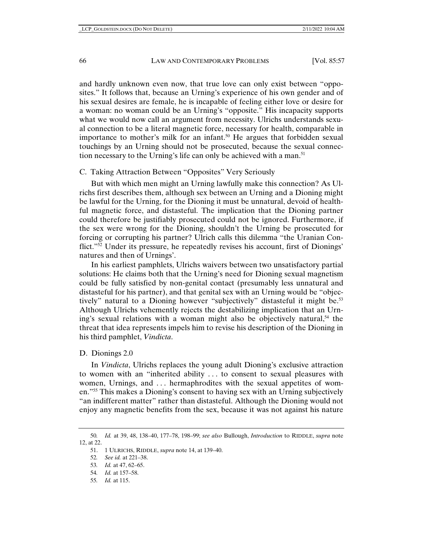and hardly unknown even now, that true love can only exist between "opposites." It follows that, because an Urning's experience of his own gender and of his sexual desires are female, he is incapable of feeling either love or desire for a woman: no woman could be an Urning's "opposite." His incapacity supports what we would now call an argument from necessity. Ulrichs understands sexual connection to be a literal magnetic force, necessary for health, comparable in importance to mother's milk for an infant.<sup>50</sup> He argues that forbidden sexual touchings by an Urning should not be prosecuted, because the sexual connection necessary to the Urning's life can only be achieved with a man.<sup>51</sup>

## C. Taking Attraction Between "Opposites" Very Seriously

But with which men might an Urning lawfully make this connection? As Ulrichs first describes them, although sex between an Urning and a Dioning might be lawful for the Urning, for the Dioning it must be unnatural, devoid of healthful magnetic force, and distasteful. The implication that the Dioning partner could therefore be justifiably prosecuted could not be ignored. Furthermore, if the sex were wrong for the Dioning, shouldn't the Urning be prosecuted for forcing or corrupting his partner? Ulrich calls this dilemma "the Uranian Conflict."52 Under its pressure, he repeatedly revises his account, first of Dionings' natures and then of Urnings'.

In his earliest pamphlets, Ulrichs waivers between two unsatisfactory partial solutions: He claims both that the Urning's need for Dioning sexual magnetism could be fully satisfied by non-genital contact (presumably less unnatural and distasteful for his partner), and that genital sex with an Urning would be "objectively" natural to a Dioning however "subjectively" distasteful it might be.<sup>53</sup> Although Ulrichs vehemently rejects the destabilizing implication that an Urning's sexual relations with a woman might also be objectively natural,  $54$  the threat that idea represents impels him to revise his description of the Dioning in his third pamphlet, *Vindicta*.

## D. Dionings 2.0

In *Vindicta*, Ulrichs replaces the young adult Dioning's exclusive attraction to women with an "inherited ability . . . to consent to sexual pleasures with women, Urnings, and . . . hermaphrodites with the sexual appetites of women."55 This makes a Dioning's consent to having sex with an Urning subjectively "an indifferent matter" rather than distasteful. Although the Dioning would not enjoy any magnetic benefits from the sex, because it was not against his nature

<sup>50</sup>*. Id.* at 39, 48, 138–40, 177–78, 198–99; *see also* Bullough, *Introduction* to RIDDLE, *supra* note 12, at 22.

<sup>51. 1</sup> ULRICHS, RIDDLE, *supra* note 14, at 139–40.

<sup>52</sup>*. See id.* at 221–38.

<sup>53</sup>*. Id.* at 47, 62–65.

<sup>54</sup>*. Id.* at 157–58.

<sup>55</sup>*. Id.* at 115.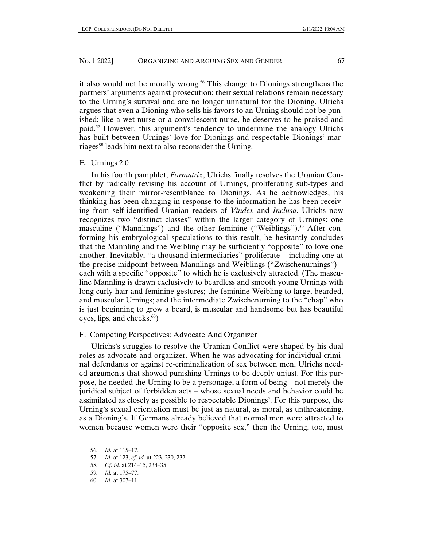it also would not be morally wrong.56 This change to Dionings strengthens the partners' arguments against prosecution: their sexual relations remain necessary to the Urning's survival and are no longer unnatural for the Dioning. Ulrichs argues that even a Dioning who sells his favors to an Urning should not be punished: like a wet-nurse or a convalescent nurse, he deserves to be praised and paid.<sup>57</sup> However, this argument's tendency to undermine the analogy Ulrichs has built between Urnings' love for Dionings and respectable Dionings' marriages<sup>58</sup> leads him next to also reconsider the Urning.

### E. Urnings 2.0

In his fourth pamphlet, *Formatrix*, Ulrichs finally resolves the Uranian Conflict by radically revising his account of Urnings, proliferating sub-types and weakening their mirror-resemblance to Dionings. As he acknowledges, his thinking has been changing in response to the information he has been receiving from self-identified Uranian readers of *Vindex* and *Inclusa*. Ulrichs now recognizes two "distinct classes" within the larger category of Urnings: one masculine ("Mannlings") and the other feminine ("Weiblings").<sup>59</sup> After conforming his embryological speculations to this result, he hesitantly concludes that the Mannling and the Weibling may be sufficiently "opposite" to love one another. Inevitably, "a thousand intermediaries" proliferate – including one at the precise midpoint between Mannlings and Weiblings ("Zwischenurnings") – each with a specific "opposite" to which he is exclusively attracted. (The masculine Mannling is drawn exclusively to beardless and smooth young Urnings with long curly hair and feminine gestures; the feminine Weibling to large, bearded, and muscular Urnings; and the intermediate Zwischenurning to the "chap" who is just beginning to grow a beard, is muscular and handsome but has beautiful eyes, lips, and cheeks.<sup>60</sup>)

# F. Competing Perspectives: Advocate And Organizer

Ulrichs's struggles to resolve the Uranian Conflict were shaped by his dual roles as advocate and organizer. When he was advocating for individual criminal defendants or against re-criminalization of sex between men, Ulrichs needed arguments that showed punishing Urnings to be deeply unjust. For this purpose, he needed the Urning to be a personage, a form of being – not merely the juridical subject of forbidden acts – whose sexual needs and behavior could be assimilated as closely as possible to respectable Dionings'. For this purpose, the Urning's sexual orientation must be just as natural, as moral, as unthreatening, as a Dioning's. If Germans already believed that normal men were attracted to women because women were their "opposite sex," then the Urning, too, must

<sup>56</sup>*. Id.* at 115–17.

<sup>57</sup>*. Id.* at 123; *cf. id.* at 223, 230, 232.

<sup>58</sup>*. Cf. id.* at 214–15, 234–35.

<sup>59</sup>*. Id.* at 175–77.

<sup>60</sup>*. Id.* at 307–11.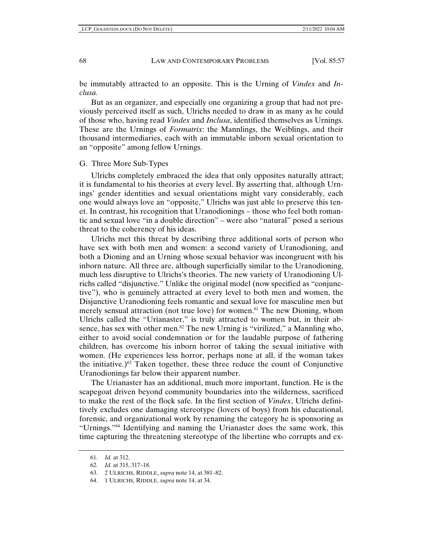be immutably attracted to an opposite. This is the Urning of *Vindex* and *Inclusa.*

But as an organizer, and especially one organizing a group that had not previously perceived itself as such, Ulrichs needed to draw in as many as he could of those who, having read *Vindex* and *Inclusa*, identified themselves as Urnings. These are the Urnings of *Formatrix*: the Mannlings, the Weiblings, and their thousand intermediaries, each with an immutable inborn sexual orientation to an "opposite" among fellow Urnings.

## G. Three More Sub-Types

Ulrichs completely embraced the idea that only opposites naturally attract; it is fundamental to his theories at every level. By asserting that, although Urnings' gender identities and sexual orientations might vary considerably, each one would always love an "opposite," Ulrichs was just able to preserve this tenet. In contrast, his recognition that Uranodionings – those who feel both romantic and sexual love "in a double direction" – were also "natural" posed a serious threat to the coherency of his ideas.

Ulrichs met this threat by describing three additional sorts of person who have sex with both men and women: a second variety of Uranodioning, and both a Dioning and an Urning whose sexual behavior was incongruent with his inborn nature. All three are, although superficially similar to the Uranodioning, much less disruptive to Ulrichs's theories. The new variety of Uranodioning Ulrichs called "disjunctive." Unlike the original model (now specified as "conjunctive"), who is genuinely attracted at every level to both men and women, the Disjunctive Uranodioning feels romantic and sexual love for masculine men but merely sensual attraction (not true love) for women.61 The new Dioning, whom Ulrichs called the "Urianaster," is truly attracted to women but, in their absence, has sex with other men. $62$  The new Urning is "virilized," a Mannling who, either to avoid social condemnation or for the laudable purpose of fathering children, has overcome his inborn horror of taking the sexual initiative with women. (He experiences less horror, perhaps none at all, if the woman takes the initiative.) $^{63}$  Taken together, these three reduce the count of Conjunctive Uranodionings far below their apparent number.

The Urianaster has an additional, much more important, function. He is the scapegoat driven beyond community boundaries into the wilderness, sacrificed to make the rest of the flock safe. In the first section of *Vindex*, Ulrichs definitively excludes one damaging stereotype (lovers of boys) from his educational, forensic, and organizational work by renaming the category he is sponsoring as "Urnings."64 Identifying and naming the Urianaster does the same work, this time capturing the threatening stereotype of the libertine who corrupts and ex-

<sup>61</sup>*. Id.* at 312.

<sup>62</sup>*. Id.* at 315, 317–18.

<sup>63. 2</sup> ULRICHS, RIDDLE, *supra* note 14, at 381–82.

<sup>64. 1</sup> ULRICHS, RIDDLE, *supra* note 14, at 34.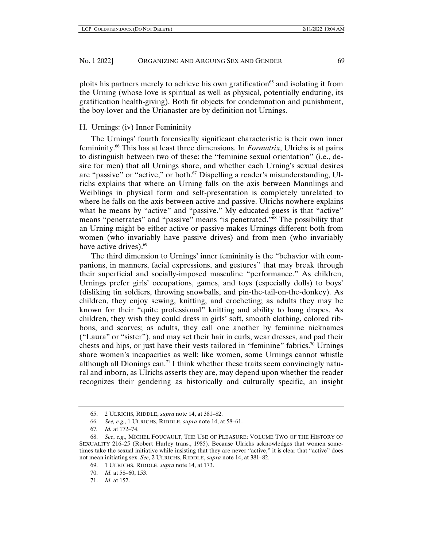ploits his partners merely to achieve his own gratification<sup>65</sup> and isolating it from the Urning (whose love is spiritual as well as physical, potentially enduring, its gratification health-giving). Both fit objects for condemnation and punishment, the boy-lover and the Urianaster are by definition not Urnings.

# H. Urnings: (iv) Inner Femininity

The Urnings' fourth forensically significant characteristic is their own inner femininity.66 This has at least three dimensions. In *Formatrix*, Ulrichs is at pains to distinguish between two of these: the "feminine sexual orientation" (i.e., desire for men) that all Urnings share, and whether each Urning's sexual desires are "passive" or "active," or both.67 Dispelling a reader's misunderstanding, Ulrichs explains that where an Urning falls on the axis between Mannlings and Weiblings in physical form and self-presentation is completely unrelated to where he falls on the axis between active and passive. Ulrichs nowhere explains what he means by "active" and "passive." My educated guess is that "active" means "penetrates" and "passive" means "is penetrated."68 The possibility that an Urning might be either active or passive makes Urnings different both from women (who invariably have passive drives) and from men (who invariably have active drives).<sup>69</sup>

The third dimension to Urnings' inner femininity is the "behavior with companions, in manners, facial expressions, and gestures" that may break through their superficial and socially-imposed masculine "performance." As children, Urnings prefer girls' occupations, games, and toys (especially dolls) to boys' (disliking tin soldiers, throwing snowballs, and pin-the-tail-on-the-donkey). As children, they enjoy sewing, knitting, and crocheting; as adults they may be known for their "quite professional" knitting and ability to hang drapes. As children, they wish they could dress in girls' soft, smooth clothing, colored ribbons, and scarves; as adults, they call one another by feminine nicknames ("Laura" or "sister"), and may set their hair in curls, wear dresses, and pad their chests and hips, or just have their vests tailored in "feminine" fabrics.<sup>70</sup> Urnings share women's incapacities as well: like women, some Urnings cannot whistle although all Dionings can.<sup>71</sup> I think whether these traits seem convincingly natural and inborn, as Ulrichs asserts they are, may depend upon whether the reader recognizes their gendering as historically and culturally specific, an insight

<sup>65. 2</sup> ULRICHS, RIDDLE, *supra* note 14, at 381–82.

<sup>66</sup>*. See, e.g.*, 1 ULRICHS, RIDDLE, *supra* note 14, at 58–61.

<sup>67</sup>*. Id.* at 172–74.

<sup>68.</sup> *See*, *e.g*., MICHEL FOUCAULT, THE USE OF PLEASURE: VOLUME TWO OF THE HISTORY OF SEXUALITY 216–25 (Robert Hurley trans., 1985). Because Ulrichs acknowledges that women sometimes take the sexual initiative while insisting that they are never "active," it is clear that "active" does not mean initiating sex. *See*, 2 ULRICHS, RIDDLE, *supra* note 14, at 381–82.

<sup>69. 1</sup> ULRICHS, RIDDLE, *supra* note 14, at 173.

<sup>70.</sup> *Id*. at 58–60, 153.

<sup>71.</sup> *Id*. at 152.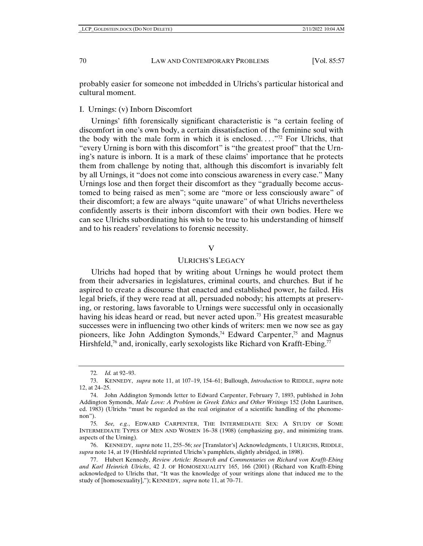probably easier for someone not imbedded in Ulrichs's particular historical and cultural moment.

I. Urnings: (v) Inborn Discomfort

Urnings' fifth forensically significant characteristic is "a certain feeling of discomfort in one's own body, a certain dissatisfaction of the feminine soul with the body with the male form in which it is enclosed...."<sup>72</sup> For Ulrichs, that "every Urning is born with this discomfort" is "the greatest proof" that the Urning's nature is inborn. It is a mark of these claims' importance that he protects them from challenge by noting that, although this discomfort is invariably felt by all Urnings, it "does not come into conscious awareness in every case." Many Urnings lose and then forget their discomfort as they "gradually become accustomed to being raised as men"; some are "more or less consciously aware" of their discomfort; a few are always "quite unaware" of what Ulrichs nevertheless confidently asserts is their inborn discomfort with their own bodies. Here we can see Ulrichs subordinating his wish to be true to his understanding of himself and to his readers' revelations to forensic necessity.

# $\overline{V}$

#### ULRICHS'S LEGACY

Ulrichs had hoped that by writing about Urnings he would protect them from their adversaries in legislatures, criminal courts, and churches. But if he aspired to create a discourse that enacted and established power, he failed. His legal briefs, if they were read at all, persuaded nobody; his attempts at preserving, or restoring, laws favorable to Urnings were successful only in occasionally having his ideas heard or read, but never acted upon.<sup>73</sup> His greatest measurable successes were in influencing two other kinds of writers: men we now see as gay pioneers, like John Addington Symonds,<sup>74</sup> Edward Carpenter,<sup>75</sup> and Magnus Hirshfeld,<sup>76</sup> and, ironically, early sexologists like Richard von Krafft-Ebing.<sup>77</sup>

<sup>72</sup>*. Id.* at 92–93.

<sup>73.</sup> KENNEDY, *supra* note 11, at 107–19, 154–61; Bullough, *Introduction* to RIDDLE, *supra* note 12, at 24–25.

<sup>74.</sup> John Addington Symonds letter to Edward Carpenter, February 7, 1893, published in John Addington Symonds, *Male Love: A Problem in Greek Ethics and Other Writings* 152 (John Lauritsen, ed. 1983) (Ulrichs "must be regarded as the real originator of a scientific handling of the phenomenon").

<sup>75</sup>*. See, e.g.*, EDWARD CARPENTER, THE INTERMEDIATE SEX: A STUDY OF SOME INTERMEDIATE TYPES OF MEN AND WOMEN 16–38 (1908) (emphasizing gay, and minimizing trans. aspects of the Urning).

<sup>76.</sup> KENNEDY, *supra* note 11, 255–56; *see* [Translator's] Acknowledgments, 1 ULRICHS, RIDDLE, *supra* note 14, at 19 (Hirshfeld reprinted Ulrichs's pamphlets, slightly abridged, in 1898).

<sup>77.</sup> Hubert Kennedy, *Review Article: Research and Commentaries on Richard von Krafft-Ebing and Karl Heinrich Ulrichs*, 42 J. OF HOMOSEXUALITY 165, 166 (2001) (Richard von Krafft-Ebing acknowledged to Ulrichs that, "It was the knowledge of your writings alone that induced me to the study of [homosexuality],"); KENNEDY, *supra* note 11, at 70–71.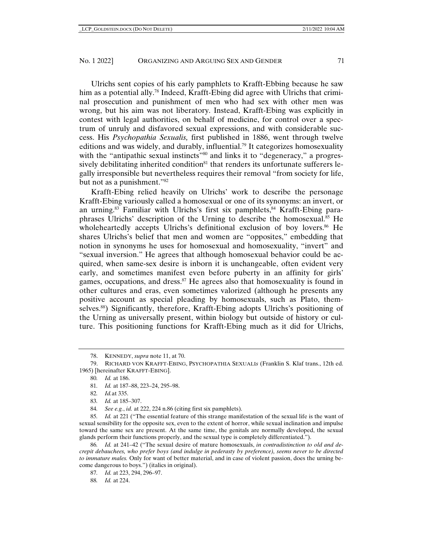Ulrichs sent copies of his early pamphlets to Krafft-Ebbing because he saw him as a potential ally.<sup>78</sup> Indeed, Krafft-Ebing did agree with Ulrichs that criminal prosecution and punishment of men who had sex with other men was wrong, but his aim was not liberatory. Instead, Krafft-Ebing was explicitly in contest with legal authorities, on behalf of medicine, for control over a spectrum of unruly and disfavored sexual expressions, and with considerable success. His *Psychopathia Sexualis,* first published in 1886, went through twelve editions and was widely, and durably, influential.79 It categorizes homosexuality with the "antipathic sexual instincts"<sup>80</sup> and links it to "degeneracy," a progressively debilitating inherited condition<sup>81</sup> that renders its unfortunate sufferers legally irresponsible but nevertheless requires their removal "from society for life, but not as a punishment."82

Krafft-Ebing relied heavily on Ulrichs' work to describe the personage Krafft-Ebing variously called a homosexual or one of its synonyms: an invert, or an urning. $83$  Familiar with Ulrichs's first six pamphlets, $84$  Krafft-Ebing paraphrases Ulrichs' description of the Urning to describe the homosexual.<sup>85</sup> He wholeheartedly accepts Ulrichs's definitional exclusion of boy lovers.<sup>86</sup> He shares Ulrichs's belief that men and women are "opposites," embedding that notion in synonyms he uses for homosexual and homosexuality, "invert" and "sexual inversion." He agrees that although homosexual behavior could be acquired, when same-sex desire is inborn it is unchangeable, often evident very early, and sometimes manifest even before puberty in an affinity for girls' games, occupations, and dress. $87$  He agrees also that homosexuality is found in other cultures and eras, even sometimes valorized (although he presents any positive account as special pleading by homosexuals, such as Plato, themselves.88) Significantly, therefore, Krafft-Ebing adopts Ulrichs's positioning of the Urning as universally present, within biology but outside of history or culture. This positioning functions for Krafft-Ebing much as it did for Ulrichs,

<sup>78.</sup> KENNEDY, *supra* note 11, at 70.

<sup>79.</sup> RICHARD VON KRAFFT-EBING, PSYCHOPATHIA SEXUALI*s* (Franklin S. Klaf trans., 12th ed. 1965) [hereinafter KRAFFT-EBING].

<sup>80</sup>*. Id.* at 186.

<sup>81</sup>*. Id.* at 187–88, 223–24, 295–98.

<sup>82</sup>*. Id.*at 335.

<sup>83</sup>*. Id.* at 185–307.

<sup>84</sup>*. See e.g.*, *id.* at 222, 224 n.86 (citing first six pamphlets).

<sup>85</sup>*. Id.* at 221 ("The essential feature of this strange manifestation of the sexual life is the want of sexual sensibility for the opposite sex, even to the extent of horror, while sexual inclination and impulse toward the same sex are present. At the same time, the genitals are normally developed, the sexual glands perform their functions properly, and the sexual type is completely differentiated.").

<sup>86</sup>*. Id.* at 241–42 ("The sexual desire of mature homosexuals, *in contradistinction to old and decrepit debauchees, who prefer boys (and indulge in pederasty by preference), seems never to be directed to immature males.* Only for want of better material, and in case of violent passion, does the urning become dangerous to boys.") (italics in original).

<sup>87</sup>*. Id.* at 223, 294, 296–97.

<sup>88</sup>*. Id.* at 224.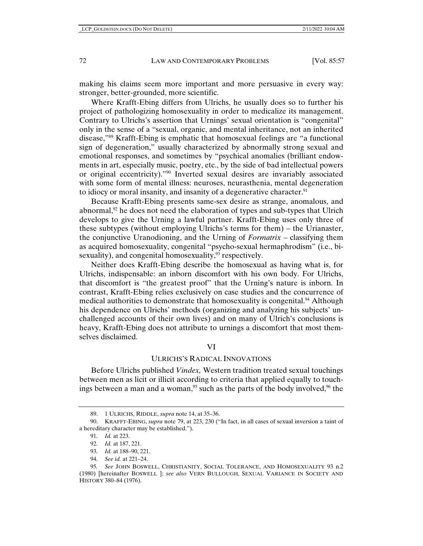making his claims seem more important and more persuasive in every way: stronger, better-grounded, more scientific.

Where Krafft-Ebing differs from Ulrichs, he usually does so to further his project of pathologizing homosexuality in order to medicalize its management. Contrary to Ulrichs's assertion that Urnings' sexual orientation is "congenital" only in the sense of a "sexual, organic, and mental inheritance, not an inherited disease,"89 Krafft-Ebing is emphatic that homosexual feelings are "a functional sign of degeneration," usually characterized by abnormally strong sexual and emotional responses, and sometimes by "psychical anomalies (brilliant endowments in art, especially music, poetry, etc., by the side of bad intellectual powers or original eccentricity)."90 Inverted sexual desires are invariably associated with some form of mental illness: neuroses, neurasthenia, mental degeneration to idiocy or moral insanity, and insanity of a degenerative character.<sup>91</sup>

Because Krafft-Ebing presents same-sex desire as strange, anomalous, and abnormal, $92$  he does not need the elaboration of types and sub-types that Ulrich develops to give the Urning a lawful partner. Krafft-Ebing uses only three of these subtypes (without employing Ulrichs's terms for them) – the Urianaster, the conjunctive Uranodioning, and the Urning of *Formatrix* – classifying them as acquired homosexuality, congenital "psycho-sexual hermaphrodism" (i.e., bisexuality), and congenital homosexuality,<sup>93</sup> respectively.

Neither does Krafft-Ebing describe the homosexual as having what is, for Ulrichs, indispensable: an inborn discomfort with his own body. For Ulrichs, that discomfort is "the greatest proof" that the Urning's nature is inborn. In contrast, Krafft-Ebing relies exclusively on case studies and the concurrence of medical authorities to demonstrate that homosexuality is congenital.<sup>94</sup> Although his dependence on Ulrichs' methods (organizing and analyzing his subjects' unchallenged accounts of their own lives) and on many of Ulrich's conclusions is heavy, Krafft-Ebing does not attribute to urnings a discomfort that most themselves disclaimed.

## VI

## ULRICHS'S RADICAL INNOVATIONS

Before Ulrichs published *Vindex,* Western tradition treated sexual touchings between men as licit or illicit according to criteria that applied equally to touchings between a man and a woman,<sup>95</sup> such as the parts of the body involved,<sup>96</sup> the

<sup>89. 1</sup> ULRICHS, RIDDLE, *supra* note 14, at 35–36.

<sup>90.</sup> KRAFFT-EBING, *supra* note 79, at 223, 230 ("In fact, in all cases of sexual inversion a taint of a hereditary character may be established.").

<sup>91</sup>*. Id.* at 223.

<sup>92</sup>*. Id.* at 187, 221.

<sup>93</sup>*. Id.* at 188–90, 221.

<sup>94</sup>*. See id.* at 221–24.

<sup>95</sup>*. See* JOHN BOSWELL, CHRISTIANITY, SOCIAL TOLERANCE, AND HOMOSEXUALITY 93 n.2 (1980) [hereinafter BOSWELL ]; *see also* VERN BULLOUGH, SEXUAL VARIANCE IN SOCIETY AND HISTORY 380–84 (1976).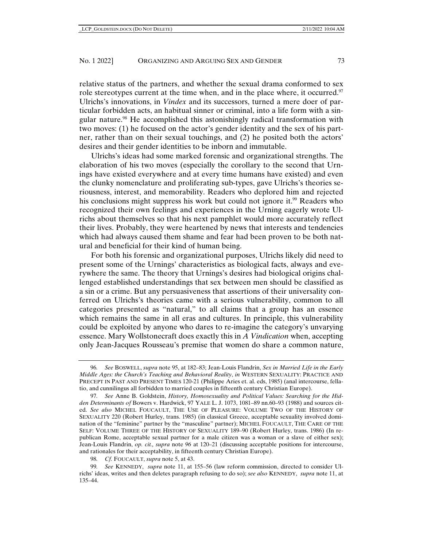relative status of the partners, and whether the sexual drama conformed to sex role stereotypes current at the time when, and in the place where, it occurred.<sup>97</sup> Ulrichs's innovations, in *Vindex* and its successors, turned a mere doer of particular forbidden acts, an habitual sinner or criminal, into a life form with a singular nature.98 He accomplished this astonishingly radical transformation with two moves: (1) he focused on the actor's gender identity and the sex of his partner, rather than on their sexual touchings, and (2) he posited both the actors' desires and their gender identities to be inborn and immutable.

Ulrichs's ideas had some marked forensic and organizational strengths. The elaboration of his two moves (especially the corollary to the second that Urnings have existed everywhere and at every time humans have existed) and even the clunky nomenclature and proliferating sub-types, gave Ulrichs's theories seriousness, interest, and memorability. Readers who deplored him and rejected his conclusions might suppress his work but could not ignore it.<sup>99</sup> Readers who recognized their own feelings and experiences in the Urning eagerly wrote Ulrichs about themselves so that his next pamphlet would more accurately reflect their lives. Probably, they were heartened by news that interests and tendencies which had always caused them shame and fear had been proven to be both natural and beneficial for their kind of human being.

For both his forensic and organizational purposes, Ulrichs likely did need to present some of the Urnings' characteristics as biological facts, always and everywhere the same. The theory that Urnings's desires had biological origins challenged established understandings that sex between men should be classified as a sin or a crime. But any persuasiveness that assertions of their universality conferred on Ulrichs's theories came with a serious vulnerability, common to all categories presented as "natural," to all claims that a group has an essence which remains the same in all eras and cultures. In principle, this vulnerability could be exploited by anyone who dares to re-imagine the category's unvarying essence. Mary Wollstonecraft does exactly this in *A Vindication* when, accepting only Jean-Jacques Rousseau's premise that women do share a common nature,

<sup>96</sup>*. See* BOSWELL, *supra* note 95, at 182–83; Jean-Louis Flandrin, *Sex in Married Life in the Early Middle Ages: the Church's Teaching and Behavioral Reality*, *in* WESTERN SEXUALITY: PRACTICE AND PRECEPT IN PAST AND PRESENT TIMES 120-21 (Philippe Aries et. al. eds, 1985) (anal intercourse, fellatio, and cunnilingus all forbidden to married couples in fifteenth century Christian Europe).

<sup>97</sup>*. See* Anne B. Goldstein, *History, Homosexuality and Political Values: Searching for the Hidden Determinants of* Bowers v. Hardwick, 97 YALE L. J. 1073, 1081–89 nn.60–93 (1988) and sources cited. *See also* MICHEL FOUCAULT, THE USE OF PLEASURE: VOLUME TWO OF THE HISTORY OF SEXUALITY 220 (Robert Hurley, trans. 1985) (in classical Greece, acceptable sexuality involved domination of the "feminine" partner by the "masculine" partner); MICHEL FOUCAULT, THE CARE OF THE SELF: VOLUME THREE OF THE HISTORY OF SEXUALITY 189–90 (Robert Hurley, trans. 1986) (In republican Rome, acceptable sexual partner for a male citizen was a woman or a slave of either sex); Jean-Louis Flandrin, *op. cit., supra* note *96* at 120–21 (discussing acceptable positions for intercourse, and rationales for their acceptability, in fifteenth century Christian Europe).

<sup>98</sup>*. Cf.* FOUCAULT, *supra* note 5, at 43.

<sup>99</sup>*. See* KENNEDY, *supra* note 11, at 155–56 (law reform commission, directed to consider Ulrichs' ideas, writes and then deletes paragraph refusing to do so); *see also* KENNEDY, *supra* note 11, at 135–44.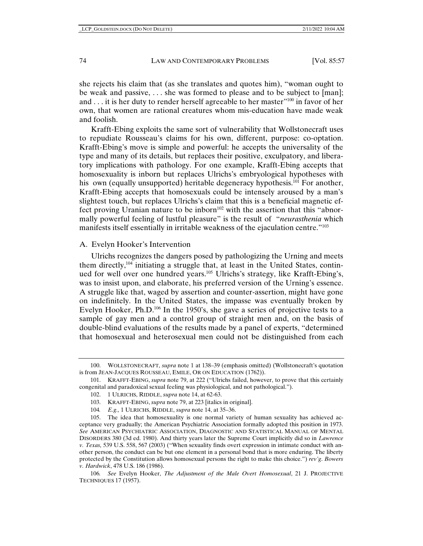she rejects his claim that (as she translates and quotes him), "woman ought to be weak and passive, . . . she was formed to please and to be subject to [man]; and . . . it is her duty to render herself agreeable to her master<sup>"100</sup> in favor of her own, that women are rational creatures whom mis-education have made weak and foolish.

Krafft-Ebing exploits the same sort of vulnerability that Wollstonecraft uses to repudiate Rousseau's claims for his own, different, purpose: co-optation. Krafft-Ebing's move is simple and powerful: he accepts the universality of the type and many of its details, but replaces their positive, exculpatory, and liberatory implications with pathology. For one example, Krafft-Ebing accepts that homosexuality is inborn but replaces Ulrichs's embryological hypotheses with his own (equally unsupported) heritable degeneracy hypothesis.<sup>101</sup> For another, Krafft-Ebing accepts that homosexuals could be intensely aroused by a man's slightest touch, but replaces Ulrichs's claim that this is a beneficial magnetic effect proving Uranian nature to be inborn<sup>102</sup> with the assertion that this "abnormally powerful feeling of lustful pleasure" is the result of "*neurasthenia* which manifests itself essentially in irritable weakness of the ejaculation centre."<sup>103</sup>

# A. Evelyn Hooker's Intervention

Ulrichs recognizes the dangers posed by pathologizing the Urning and meets them directly, $104$  initiating a struggle that, at least in the United States, continued for well over one hundred years.<sup>105</sup> Ulrichs's strategy, like Krafft-Ebing's, was to insist upon, and elaborate, his preferred version of the Urning's essence. A struggle like that, waged by assertion and counter-assertion, might have gone on indefinitely. In the United States, the impasse was eventually broken by Evelyn Hooker, Ph.D.106 In the 1950's, she gave a series of projective tests to a sample of gay men and a control group of straight men and, on the basis of double-blind evaluations of the results made by a panel of experts, "determined that homosexual and heterosexual men could not be distinguished from each

<sup>100.</sup> WOLLSTONECRAFT, *supra* note 1 at 138–39 (emphasis omitted) (Wollstonecraft's quotation is from JEAN-JACQUES ROUSSEAU, EMILE, OR ON EDUCATION (1762)).

<sup>101.</sup> KRAFFT-EBING, *supra* note 79, at 222 ("Ulrichs failed, however, to prove that this certainly congenital and paradoxical sexual feeling was physiological, and not pathological.").

<sup>102. 1</sup> ULRICHS, RIDDLE, *supra* note 14, at 62-63.

<sup>103.</sup> KRAFFT-EBING, *supra* note 79, at 223 [italics in original].

<sup>104</sup>*. E.g.,* 1 ULRICHS, RIDDLE, *supra* note 14, at 35–36.

<sup>105.</sup> The idea that homosexuality is one normal variety of human sexuality has achieved acceptance very gradually; the American Psychiatric Association formally adopted this position in 1973. *See* AMERICAN PSYCHIATRIC ASSOCIATION, DIAGNOSTIC AND STATISTICAL MANUAL OF MENTAL DISORDERS 380 (3d ed. 1980). And thirty years later the Supreme Court implicitly did so in *Lawrence v. Texas,* 539 U.S. 558, 567 (2003) ("When sexuality finds overt expression in intimate conduct with another person, the conduct can be but one element in a personal bond that is more enduring. The liberty protected by the Constitution allows homosexual persons the right to make this choice.") *rev'g*. *Bowers v. Hardwick*, 478 U.S. 186 (1986).

<sup>106</sup>*. See* Evelyn Hooker, *The Adjustment of the Male Overt Homosexual*, 21 J. PROJECTIVE TECHNIQUES 17 (1957).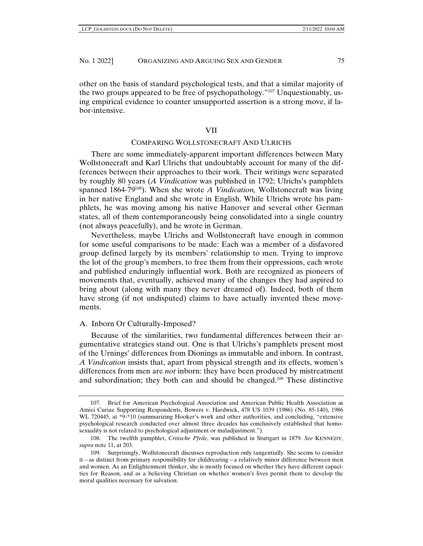other on the basis of standard psychological tests, and that a similar majority of the two groups appeared to be free of psychopathology."107 Unquestionably, using empirical evidence to counter unsupported assertion is a strong move, if labor-intensive.

# VII

# COMPARING WOLLSTONECRAFT AND ULRICHS

There are some immediately-apparent important differences between Mary Wollstonecraft and Karl Ulrichs that undoubtably account for many of the differences between their approaches to their work. Their writings were separated by roughly 80 years (*A Vindication* was published in 1792; Ulrichs's pamphlets spanned 1864-79108). When she wrote *A Vindication,* Wollstonecraft was living in her native England and she wrote in English. While Ulrichs wrote his pamphlets, he was moving among his native Hanover and several other German states, all of them contemporaneously being consolidated into a single country (not always peacefully), and he wrote in German.

Nevertheless, maybe Ulrichs and Wollstonecraft have enough in common for some useful comparisons to be made: Each was a member of a disfavored group defined largely by its members' relationship to men. Trying to improve the lot of the group's members, to free them from their oppressions, each wrote and published enduringly influential work. Both are recognized as pioneers of movements that, eventually, achieved many of the changes they had aspired to bring about (along with many they never dreamed of). Indeed, both of them have strong (if not undisputed) claims to have actually invented these movements.

#### A. Inborn Or Culturally-Imposed?

Because of the similarities, two fundamental differences between their argumentative strategies stand out. One is that Ulrichs's pamphlets present most of the Urnings' differences from Dionings as immutable and inborn. In contrast, *A Vindication* insists that, apart from physical strength and its effects, women's differences from men are *not* inborn: they have been produced by mistreatment and subordination; they both can and should be changed.109 These distinctive

<sup>107.</sup> Brief for American Psychological Association and American Public Health Association as Amici Curiae Supporting Respondents, Bowers v. Hardwick, 478 US 1039 (1986) (No. 85-140), 1986 WL 720445, at \*9-\*10 (summarizing Hooker's work and other authorities, and concluding, "extensive psychological research conducted over almost three decades has conclusively established that homosexuality is not related to psychological adjustment or maladjustment.").

<sup>108.</sup> The twelfth pamphlet, *Critische Pfeile*, was published in Stuttgart in 1879. *See* KENNEDY, *supra* note 11, at 203.

<sup>109.</sup> Surprisingly, Wollstonecraft discusses reproduction only tangentially. She seems to consider it—as distinct from primary responsibility for childrearing—a relatively minor difference between men and women. As an Enlightenment thinker, she is mostly focused on whether they have different capacities for Reason, and as a believing Christian on whether women's lives permit them to develop the moral qualities necessary for salvation.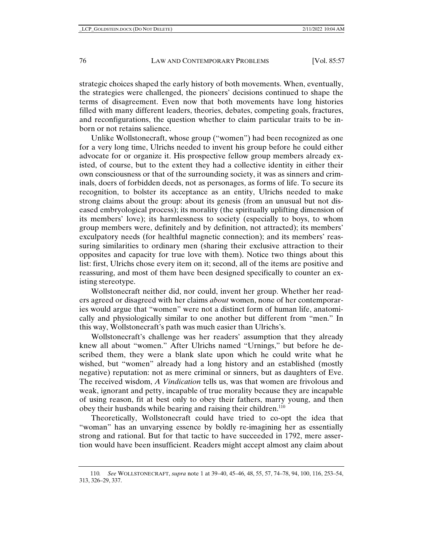strategic choices shaped the early history of both movements. When, eventually, the strategies were challenged, the pioneers' decisions continued to shape the terms of disagreement. Even now that both movements have long histories filled with many different leaders, theories, debates, competing goals, fractures, and reconfigurations, the question whether to claim particular traits to be inborn or not retains salience.

Unlike Wollstonecraft, whose group ("women") had been recognized as one for a very long time, Ulrichs needed to invent his group before he could either advocate for or organize it. His prospective fellow group members already existed, of course, but to the extent they had a collective identity in either their own consciousness or that of the surrounding society, it was as sinners and criminals, doers of forbidden deeds, not as personages, as forms of life. To secure its recognition, to bolster its acceptance as an entity, Ulrichs needed to make strong claims about the group: about its genesis (from an unusual but not diseased embryological process); its morality (the spiritually uplifting dimension of its members' love); its harmlessness to society (especially to boys, to whom group members were, definitely and by definition, not attracted); its members' exculpatory needs (for healthful magnetic connection); and its members' reassuring similarities to ordinary men (sharing their exclusive attraction to their opposites and capacity for true love with them). Notice two things about this list: first, Ulrichs chose every item on it; second, all of the items are positive and reassuring, and most of them have been designed specifically to counter an existing stereotype.

Wollstonecraft neither did, nor could, invent her group. Whether her readers agreed or disagreed with her claims *about* women, none of her contemporaries would argue that "women" were not a distinct form of human life, anatomically and physiologically similar to one another but different from "men." In this way, Wollstonecraft's path was much easier than Ulrichs's.

Wollstonecraft's challenge was her readers' assumption that they already knew all about "women." After Ulrichs named "Urnings," but before he described them, they were a blank slate upon which he could write what he wished, but "women" already had a long history and an established (mostly negative) reputation: not as mere criminal or sinners, but as daughters of Eve. The received wisdom, *A Vindication* tells us, was that women are frivolous and weak, ignorant and petty, incapable of true morality because they are incapable of using reason, fit at best only to obey their fathers, marry young, and then obey their husbands while bearing and raising their children.<sup>110</sup>

Theoretically, Wollstonecraft could have tried to co-opt the idea that "woman" has an unvarying essence by boldly re-imagining her as essentially strong and rational. But for that tactic to have succeeded in 1792, mere assertion would have been insufficient. Readers might accept almost any claim about

<sup>110</sup>*. See* WOLLSTONECRAFT, *supra* note 1 at 39–40, 45–46, 48, 55, 57, 74–78, 94, 100, 116, 253–54, 313, 326–29, 337.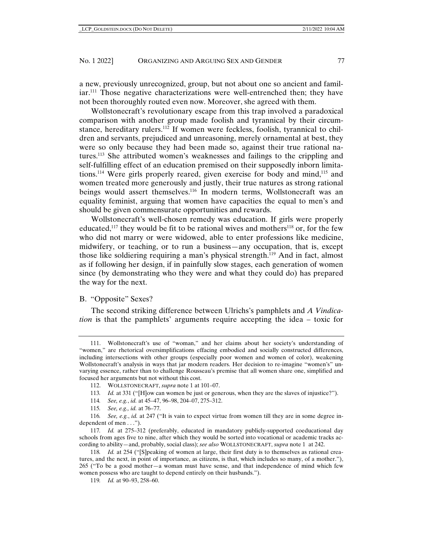a new, previously unrecognized, group, but not about one so ancient and familiar.111 Those negative characterizations were well-entrenched then; they have not been thoroughly routed even now. Moreover, she agreed with them.

Wollstonecraft's revolutionary escape from this trap involved a paradoxical comparison with another group made foolish and tyrannical by their circumstance, hereditary rulers.<sup>112</sup> If women were feckless, foolish, tyrannical to children and servants, prejudiced and unreasoning, merely ornamental at best, they were so only because they had been made so, against their true rational natures.113 She attributed women's weaknesses and failings to the crippling and self-fulfilling effect of an education premised on their supposedly inborn limitations.114 Were girls properly reared, given exercise for body and mind,115 and women treated more generously and justly, their true natures as strong rational beings would assert themselves.<sup>116</sup> In modern terms, Wollstonecraft was an equality feminist, arguing that women have capacities the equal to men's and should be given commensurate opportunities and rewards.

Wollstonecraft's well-chosen remedy was education. If girls were properly educated,<sup>117</sup> they would be fit to be rational wives and mothers<sup>118</sup> or, for the few who did not marry or were widowed, able to enter professions like medicine, midwifery, or teaching, or to run a business—any occupation, that is, except those like soldiering requiring a man's physical strength.<sup>119</sup> And in fact, almost as if following her design, if in painfully slow stages, each generation of women since (by demonstrating who they were and what they could do) has prepared the way for the next.

# B. "Opposite" Sexes?

The second striking difference between Ulrichs's pamphlets and *A Vindication* is that the pamphlets' arguments require accepting the idea – toxic for

- 114*. See, e.g.*, *id.* at 45–47, 96–98, 204–07, 275–312.
- 115*. See, e.g., id.* at 76–77.

119*. Id.* at 90–93, 258–60.

<sup>111.</sup> Wollstonecraft's use of "woman," and her claims about her society's understanding of "women," are rhetorical oversimplifications effacing embodied and socially constructed differences, including intersections with other groups (especially poor women and women of color), weakening Wollstonecraft's analysis in ways that jar modern readers. Her decision to re-imagine "women's" unvarying essence, rather than to challenge Rousseau's premise that all women share one, simplified and focused her arguments but not without this cost.

<sup>112.</sup> WOLLSTONECRAFT, *supra* note 1 at 101–07.

<sup>113</sup>*. Id.* at 331 ("[H]ow can women be just or generous, when they are the slaves of injustice?").

<sup>116</sup>*. See, e.g.*, *id.* at 247 ("It is vain to expect virtue from women till they are in some degree independent of men . . .").

<sup>117</sup>*. Id.* at 275–312 (preferably, educated in mandatory publicly-supported coeducational day schools from ages five to nine, after which they would be sorted into vocational or academic tracks according to ability—and, probably, social class); *see also* WOLLSTONECRAFT, *supra* note 1 at 242.

<sup>118</sup>*. Id.* at 254 ("[S]peaking of women at large, their first duty is to themselves as rational creatures, and the next, in point of importance, as citizens, is that, which includes so many, of a mother."), 265 ("To be a good mother—a woman must have sense, and that independence of mind which few women possess who are taught to depend entirely on their husbands.").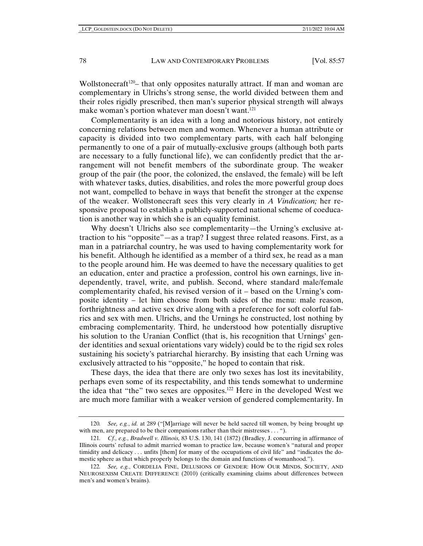Wollstonecraft<sup>120</sup>– that only opposites naturally attract. If man and woman are complementary in Ulrichs's strong sense, the world divided between them and their roles rigidly prescribed, then man's superior physical strength will always make woman's portion whatever man doesn't want.<sup>121</sup>

Complementarity is an idea with a long and notorious history, not entirely concerning relations between men and women. Whenever a human attribute or capacity is divided into two complementary parts, with each half belonging permanently to one of a pair of mutually-exclusive groups (although both parts are necessary to a fully functional life), we can confidently predict that the arrangement will not benefit members of the subordinate group. The weaker group of the pair (the poor, the colonized, the enslaved, the female) will be left with whatever tasks, duties, disabilities, and roles the more powerful group does not want, compelled to behave in ways that benefit the stronger at the expense of the weaker. Wollstonecraft sees this very clearly in *A Vindication;* her responsive proposal to establish a publicly-supported national scheme of coeducation is another way in which she is an equality feminist.

Why doesn't Ulrichs also see complementarity—the Urning's exclusive attraction to his "opposite"—as a trap? I suggest three related reasons. First, as a man in a patriarchal country, he was used to having complementarity work for his benefit. Although he identified as a member of a third sex, he read as a man to the people around him. He was deemed to have the necessary qualities to get an education, enter and practice a profession, control his own earnings, live independently, travel, write, and publish. Second, where standard male/female complementarity chafed, his revised version of it – based on the Urning's composite identity – let him choose from both sides of the menu: male reason, forthrightness and active sex drive along with a preference for soft colorful fabrics and sex with men. Ulrichs, and the Urnings he constructed, lost nothing by embracing complementarity. Third, he understood how potentially disruptive his solution to the Uranian Conflict (that is, his recognition that Urnings' gender identities and sexual orientations vary widely) could be to the rigid sex roles sustaining his society's patriarchal hierarchy. By insisting that each Urning was exclusively attracted to his "opposite," he hoped to contain that risk.

These days, the idea that there are only two sexes has lost its inevitability, perhaps even some of its respectability, and this tends somewhat to undermine the idea that "the" two sexes are opposites.122 Here in the developed West we are much more familiar with a weaker version of gendered complementarity. In

<sup>120</sup>*. See, e.g.*, *id.* at 289 ("[M]arriage will never be held sacred till women, by being brought up with men, are prepared to be their companions rather than their mistresses . . . ").

<sup>121</sup>*. Cf., e.g.*, *Bradwell v. Illinois,* 83 U.S. 130, 141 (1872) (Bradley, J. concurring in affirmance of Illinois courts' refusal to admit married woman to practice law, because women's "natural and proper timidity and delicacy . . . unfits [them] for many of the occupations of civil life" and "indicates the domestic sphere as that which properly belongs to the domain and functions of womanhood.").

<sup>122</sup>*. See, e.g.*, CORDELIA FINE, DELUSIONS OF GENDER: HOW OUR MINDS, SOCIETY, AND NEUROSEXISM CREATE DIFFERENCE (2010) (critically examining claims about differences between men's and women's brains).